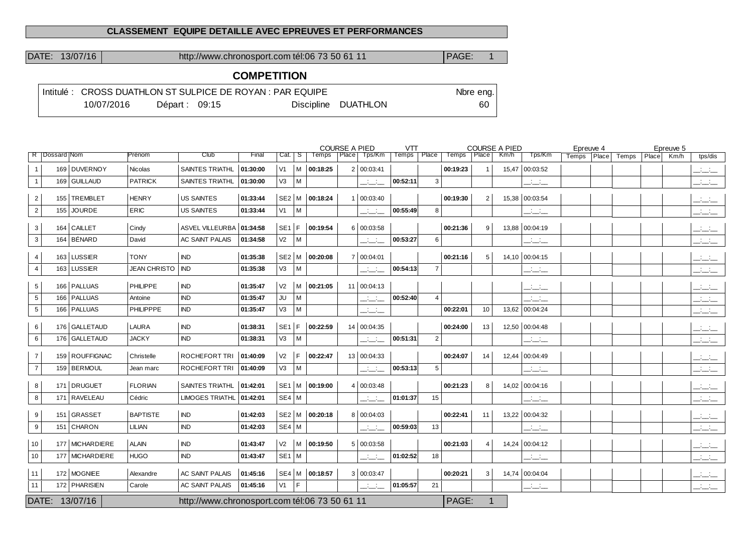#### **CLASSEMENT EQUIPE DETAILLE AVEC EPREUVES ET PERFORMANCES**

DATE: 13/07/16 http://www.chronosport.com tél:06 73 50 61 11 PAGE: 1

# **COMPETITION**

|            |                 | Intitulé : CROSS DUATHLON ST SULPICE DE ROYAN : PAR EQUIPE |                     | Nbre eng. |
|------------|-----------------|------------------------------------------------------------|---------------------|-----------|
| 10/07/2016 | Départ: $09:15$ |                                                            | Discipline DUATHLON | 60.       |

|                |                   |                 |                    |                                               |          |                |          |                | <b>COURSE A PIED</b> |              | <b>VTT</b> |                          |               | <b>COURSE A PIED</b> |      |                | Epreuve 4 |       |       |       | Epreuve 5 |           |
|----------------|-------------------|-----------------|--------------------|-----------------------------------------------|----------|----------------|----------|----------------|----------------------|--------------|------------|--------------------------|---------------|----------------------|------|----------------|-----------|-------|-------|-------|-----------|-----------|
|                | R   Dossard   Nom |                 | Prénom             | Club                                          | Final    | Cat.   S       |          | <b>Temps</b>   | $ $ Place $ $        | Tps/Km       | Temps      | Place                    | Temps   Place |                      | Km/h | Tps/Km         | Temps     | Place | Temps | Place | Km/h      | tps/dis   |
|                |                   | 169 DUVERNOY    | <b>Nicolas</b>     | <b>SAINTES TRIATHL</b>                        | 01:30:00 | V1             |          | M 00:18:25     |                      | 2   00:03:41 |            |                          | 00:19:23      |                      |      | 15,47 00:03:52 |           |       |       |       |           | للتناشيات |
| $\overline{1}$ |                   | 169 GUILLAUD    | PATRICK            | <b>SAINTES TRIATHL</b>                        | 01:30:00 | V3             | M        |                |                      | المناسبات    | 00:52:11   | 3                        |               |                      |      | للنائب         |           |       |       |       |           | للتناشي   |
| $\overline{2}$ |                   | 155 TREMBLET    | HENRY              | <b>US SAINTES</b>                             | 01:33:44 |                |          | SE2 M 00:18:24 |                      | 1   00:03:40 |            |                          | 00:19:30      | $\overline{2}$       |      | 15,38 00:03:54 |           |       |       |       |           | سنسند     |
| $\overline{2}$ |                   | 155 JOURDE      | ERIC               | <b>US SAINTES</b>                             | 01:33:44 | V1             | M        |                |                      | سنسند        | 00:55:49   | 8                        |               |                      |      | للنائب         |           |       |       |       |           | المناسبات |
| 3              |                   | 164 CAILLET     | Cindy              | ASVEL VILLEURBA   01:34:58                    |          | $SE1$ F        |          | 00:19:54       |                      | 6   00:03:58 |            |                          | 00:21:36      | 9                    |      | 13,88 00:04:19 |           |       |       |       |           | للتناشي   |
| 3              |                   | 164   BÉNARD    | David              | <b>AC SAINT PALAIS</b>                        | 01:34:58 | V <sub>2</sub> | M        |                |                      | المناسبات    | 00:53:27   | 6                        |               |                      |      | للتناشي        |           |       |       |       |           | المنافسات |
| $\overline{4}$ |                   | 163 LUSSIER     | <b>TONY</b>        | <b>IND</b>                                    | 01:35:38 |                |          | SE2 M 00:20:08 |                      | 7 00:04:01   |            |                          | 00:21:16      | 5                    |      | 14,10 00:04:15 |           |       |       |       |           | سنسند     |
| $\overline{4}$ |                   | 163 LUSSIER     | JEAN CHRISTO   IND |                                               | 01:35:38 | V <sub>3</sub> | M        |                |                      | للمناسب      | 00:54:13   | $\overline{7}$           |               |                      |      | للتناشي        |           |       |       |       |           | سنسند     |
| 5              |                   | 166 PALLUAS     | PHILIPPE           | IND                                           | 01:35:47 | V <sub>2</sub> | M        | 00:21:05       |                      | 11 00:04:13  |            |                          |               |                      |      | للنائب         |           |       |       |       |           | للتنابذ   |
| $\sqrt{5}$     |                   | 166   PALLUAS   | Antoine            | <b>IND</b>                                    | 01:35:47 | JU             | М        |                |                      | للتناقب      | 00:52:40   | $\overline{\mathcal{L}}$ |               |                      |      | للتناشي        |           |       |       |       |           | للتناشيات |
| 5              |                   | 166   PALLUAS   | PHILIPPPE          | <b>IND</b>                                    | 01:35:47 | V3             | M        |                |                      | سنسند        |            |                          | 00:22:01      | 10                   |      | 13,62 00:04:24 |           |       |       |       |           | للمناسب   |
|                |                   | 176 GALLETAUD   | LAURA              | <b>IND</b>                                    | 01:38:31 | $SE1$ F        |          | 00:22:59       |                      | 14 00:04:35  |            |                          | 00:24:00      |                      |      | 12,50 00:04:48 |           |       |       |       |           |           |
| 6<br>6         |                   | 176 GALLETAUD   | <b>JACKY</b>       | <b>IND</b>                                    | 01:38:31 | V <sub>3</sub> | $\mid M$ |                |                      |              | 00:51:31   | 2                        |               | 13                   |      |                |           |       |       |       |           | للتنافث   |
|                |                   |                 |                    |                                               |          |                |          |                |                      | للتناقب      |            |                          |               |                      |      | للتنائب        |           |       |       |       |           | للمناسب   |
| $\overline{7}$ |                   | 159 ROUFFIGNAC  | Christelle         | <b>ROCHEFORT TRI</b>                          | 01:40:09 | V <sub>2</sub> | F.       | 00:22:47       |                      | 13 00:04:33  |            |                          | 00:24:07      | 14                   |      | 12,44 00:04:49 |           |       |       |       |           | للتنائب   |
| $\overline{7}$ |                   | 159 BERMOUL     | Jean marc          | ROCHEFORT TRI                                 | 01:40:09 | V <sub>3</sub> | $\mid M$ |                |                      | المنافذ      | 00:53:13   | 5                        |               |                      |      | للتناشي        |           |       |       |       |           | للمناسب   |
| 8              |                   | 171 DRUGUET     | <b>FLORIAN</b>     | <b>SAINTES TRIATHL</b>                        | 01:42:01 |                |          | SE1 M 00:19:00 |                      | 4   00:03:48 |            |                          | 00:21:23      | 8                    |      | 14,02 00:04:16 |           |       |       |       |           | للتناشيات |
| 8              |                   | 171 RAVELEAU    | Cédric             | LIMOGES TRIATHL 01:42:01                      |          | $SE4$ M        |          |                |                      | للتناقب      | 01:01:37   | 15                       |               |                      |      | للتناشي        |           |       |       |       |           | للتناشيات |
| 9              |                   | 151 GRASSET     | <b>BAPTISTE</b>    | <b>IND</b>                                    | 01:42:03 |                |          | SE2 M 00:20:18 |                      | 8 00:04:03   |            |                          | 00:22:41      | 11                   |      | 13,22 00:04:32 |           |       |       |       |           | للمنسن    |
| 9              |                   | 151 CHARON      | LILIAN             | IND                                           | 01:42:03 | $SE4$ M        |          |                |                      | للتناقب      | 00:59:03   | 13                       |               |                      |      | للتنائب        |           |       |       |       |           | للتناشيات |
| 10             |                   | 177 MICHARDIERE | <b>ALAIN</b>       | <b>IND</b>                                    | 01:43:47 | V <sub>2</sub> |          | $ M $ 00:19:50 |                      | 5   00:03:58 |            |                          | 00:21:03      | $\overline{4}$       |      | 14,24 00:04:12 |           |       |       |       |           | للأسائل   |
| 10             |                   | 177 MICHARDIERE | <b>HUGO</b>        | <b>IND</b>                                    | 01:43:47 | $SE1$ M        |          |                |                      | المنافسات    | 01:02:52   | 18                       |               |                      |      | للتنائب        |           |       |       |       |           | للمناسب   |
| 11             |                   | 172 MOGNIEE     | Alexandre          | <b>AC SAINT PALAIS</b>                        | 01:45:16 |                |          | SE4 M 00:18:57 |                      | 3   00:03:47 |            |                          | 00:20:21      | 3                    |      | 14,74 00:04:04 |           |       |       |       |           | سنسند     |
| 11             |                   | 172 PHARISIEN   | Carole             | AC SAINT PALAIS                               | 01:45:16 | V1             | F        |                |                      | المنتقلة     | 01:05:57   | 21                       |               |                      |      | المنافذ        |           |       |       |       |           | للتناشيات |
|                |                   | DATE: 13/07/16  |                    | http://www.chronosport.com tél:06 73 50 61 11 |          |                |          |                |                      |              |            |                          | PAGE:         | 1                    |      |                |           |       |       |       |           |           |
|                |                   |                 |                    |                                               |          |                |          |                |                      |              |            |                          |               |                      |      |                |           |       |       |       |           |           |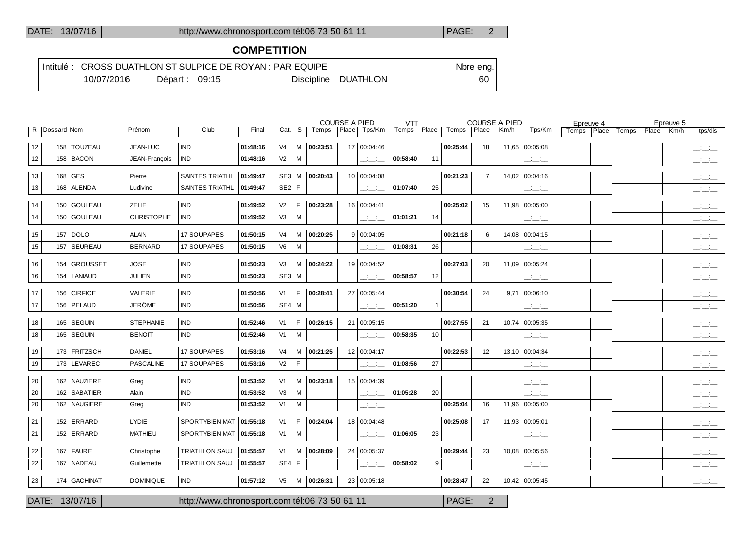### DATE: 13/07/16 http://www.chronosport.com tél:06 73 50 61 11 PAGE: 2

# **COMPETITION**

|  |            |                 | Intitulé : CROSS DUATHLON ST SULPICE DE ROYAN : PAR EQUIPE |                     | Nbre eng. |
|--|------------|-----------------|------------------------------------------------------------|---------------------|-----------|
|  | 10/07/2016 | Départ: $09:15$ |                                                            | Discipline DUATHLON | 60        |

|    |               |                |                   |                                               |          |                |    |                   | <b>COURSE A PIED</b> |               | <b>VTT</b> |       |          |                | <b>COURSE A PIED</b> |                | Epreuve 4 |             |       | Epreuve 5 |           |
|----|---------------|----------------|-------------------|-----------------------------------------------|----------|----------------|----|-------------------|----------------------|---------------|------------|-------|----------|----------------|----------------------|----------------|-----------|-------------|-------|-----------|-----------|
|    | R Dossard Nom |                | Prénom            | Club                                          | Final    | Cat.           | -S | Temps             | Place                | Tps/Km        | Temps      | Place | Temps    | Place          | Km/h                 | Tps/Km         | Temps     | Place Temps | Place | Km/h      | tps/dis   |
| 12 |               | 158   TOUZEAU  | <b>JEAN-LUC</b>   | <b>IND</b>                                    | 01:48:16 | V <sub>4</sub> | М  | 00:23:51          |                      | 17 00:04:46   |            |       | 00:25:44 | 18             |                      | 11,65 00:05:08 |           |             |       |           | للتنافث   |
| 12 |               | 158 BACON      | JEAN-Francois     | IND.                                          | 01:48:16 | V <sub>2</sub> | M  |                   |                      | للنائب        | 00:58:40   | 11    |          |                |                      | للنائب         |           |             |       |           | سنسند     |
| 13 |               | 168 GES        | Pierre            | <b>SAINTES TRIATHL</b>                        | 01:49:47 |                |    | SE3 M 00:20:43    |                      | 10 00:04:08   |            |       | 00:21:23 | $\overline{7}$ |                      | 14,02 00:04:16 |           |             |       |           | للتنافث   |
| 13 |               | 168 ALENDA     | Ludivine          | <b>SAINTES TRIATHL</b>                        | 01:49:47 | SE2 F          |    |                   |                      | للتحلف        | 01:07:40   | 25    |          |                |                      | للتناشي        |           |             |       |           | للتناشيات |
| 14 |               | 150 GOULEAU    | <b>ZELIE</b>      | <b>IND</b>                                    | 01:49:52 | V <sub>2</sub> | F  | 00:23:28          |                      | 16 00:04:41   |            |       | 00:25:02 | 15             | 11,98                | 00:05:00       |           |             |       |           | للمناصب   |
| 14 |               | 150 GOULEAU    | <b>CHRISTOPHE</b> | <b>IND</b>                                    | 01:49:52 | V3             | M  |                   |                      | للتابيت       | 01:01:21   | 14    |          |                |                      | للأسائل        |           |             |       |           | للمناصب   |
| 15 |               | 157   DOLO     | <b>ALAIN</b>      | <b>17 SOUPAPES</b>                            | 01:50:15 | V <sub>4</sub> | M  | 00:20:25          |                      | 9   00:04:05  |            |       | 00:21:18 | 6              |                      | 14,08 00:04:15 |           |             |       |           | للتنافث   |
| 15 |               | 157   SEUREAU  | <b>BERNARD</b>    | <b>17 SOUPAPES</b>                            | 01:50:15 | V6             | м  |                   |                      | للتنائب       | 01:08:31   | 26    |          |                |                      | للتنائب        |           |             |       |           | للتناشيذ  |
| 16 |               | 154 GROUSSET   | <b>JOSE</b>       | <b>IND</b>                                    | 01:50:23 | V <sub>3</sub> |    | $M \mid 00:24:22$ |                      | 19 00:04:52   |            |       | 00:27:03 | 20             |                      | 11,09 00:05:24 |           |             |       |           | للتناشيات |
| 16 |               | 154   LANIAUD  | JULIEN            | <b>IND</b>                                    | 01:50:23 | $SE3$ M        |    |                   |                      | للتناسب       | 00:58:57   | 12    |          |                |                      | للتناشيذ       |           |             |       |           | للتناقب   |
| 17 |               | 156 CIRFICE    | VALERIE           | <b>IND</b>                                    | 01:50:56 | V <sub>1</sub> | F  | 00:28:41          |                      | 27 00:05:44   |            |       | 00:30:54 | 24             |                      | 9,71 00:06:10  |           |             |       |           | للمناصب   |
| 17 |               | 156   PELAUD   | JERÔME            | <b>IND</b>                                    | 01:50:56 | SE4 M          |    |                   |                      | للنائب        | 00:51:20   |       |          |                |                      | للتخليف        |           |             |       |           | للتنافث   |
| 18 |               | 165 SEGUIN     | <b>STEPHANIE</b>  | <b>IND</b>                                    | 01:52:46 | V <sub>1</sub> | F  | 00:26:15          |                      | 21   00:05:15 |            |       | 00:27:55 | 21             |                      | 10,74 00:05:35 |           |             |       |           | للتنافذ   |
| 18 |               | 165   SEGUIN   | <b>BENOIT</b>     | <b>IND</b>                                    | 01:52:46 | V1             | M  |                   |                      | للنائب        | 00:58:35   | 10    |          |                |                      | للتنافث        |           |             |       |           | للمناسب   |
| 19 |               | 173 FRITZSCH   | <b>DANIEL</b>     | 17 SOUPAPES                                   | 01:53:16 | V <sub>4</sub> | М  | 00:21:25          |                      | 12 00:04:17   |            |       | 00:22:53 | 12             |                      | 13,10 00:04:34 |           |             |       |           | للتحلف    |
| 19 |               | 173 LEVAREC    | <b>PASCALINE</b>  | <b>17 SOUPAPES</b>                            | 01:53:16 | V <sub>2</sub> | F  |                   |                      | بانباني       | 01:08:56   | 27    |          |                |                      | المناسبات      |           |             |       |           | للتنافث   |
| 20 |               | 162 NAUZIERE   | Greg              | <b>IND</b>                                    | 01:53:52 | V <sub>1</sub> | м  | 00:23:18          |                      | 15 00:04:39   |            |       |          |                |                      | للتنافث        |           |             |       |           | للتناقب   |
| 20 |               | 162 SABATIER   | Alain             | <b>IND</b>                                    | 01:53:52 | V <sub>3</sub> | M  |                   |                      | للتائب        | 01:05:28   | 20    |          |                |                      | المنافذ        |           |             |       |           | للمناقب   |
| 20 |               | 162 NAUGIERE   | Greg              | <b>IND</b>                                    | 01:53:52 | V1             | M  |                   |                      | بانباني       |            |       | 00:25:04 | 16             |                      | 11,96 00:05:00 |           |             |       |           | للتناشيات |
| 21 |               | 152 ERRARD     | <b>LYDIE</b>      | <b>SPORTYBIEN MAT</b>                         | 01:55:18 | V <sub>1</sub> | F  | 00:24:04          |                      | 18 00:04:48   |            |       | 00:25:08 | 17             |                      | 11,93 00:05:01 |           |             |       |           | سنسند     |
| 21 |               | 152 ERRARD     | <b>MATHIEU</b>    | SPORTYBIEN MAT                                | 01:55:18 | V1             | М  |                   |                      | للتابت        | 01:06:05   | 23    |          |                |                      | للتناشيات      |           |             |       |           | للتناشيات |
| 22 |               | 167   FAURE    | Christophe        | <b>TRIATHLON SAUJ</b>                         | 01:55:57 | V1             | M  | 00:28:09          |                      | 24 00:05:37   |            |       | 00:29:44 | 23             |                      | 10,08 00:05:56 |           |             |       |           | المناسبات |
| 22 |               | 167 NADEAU     | Guillemette       | <b>TRIATHLON SAUJ</b>                         | 01:55:57 | SE4            | F  |                   |                      | للتابت        | 00:58:02   | 9     |          |                |                      | للنائب         |           |             |       |           | للمنسند   |
| 23 |               | 174 GACHINAT   | <b>DOMINIQUE</b>  | <b>IND</b>                                    | 01:57:12 | V <sub>5</sub> |    | M 00:26:31        |                      | 23   00:05:18 |            |       | 00:28:47 | 22             |                      | 10,42 00:05:45 |           |             |       |           | للنائب    |
|    |               | DATE: 13/07/16 |                   | http://www.chronosport.com tél:06 73 50 61 11 |          |                |    |                   |                      |               |            |       | PAGE:    | $\overline{2}$ |                      |                |           |             |       |           |           |